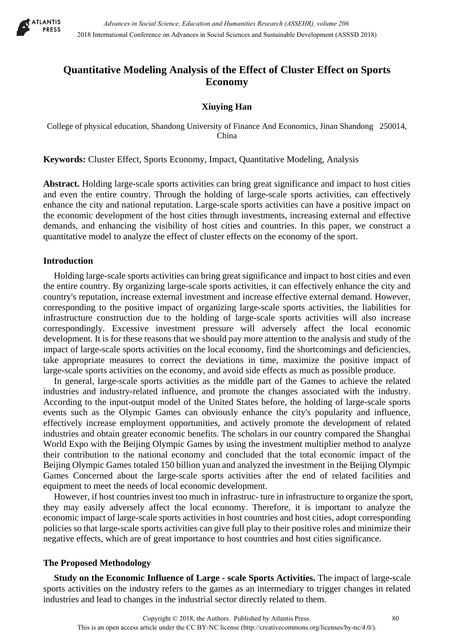

# **Quantitative Modeling Analysis of the Effect of Cluster Effect on Sports Economy**

## **Xiuying Han**

College of physical education, Shandong University of Finance And Economics, Jinan Shandong 250014, China

**Keywords:** Cluster Effect, Sports Economy, Impact, Quantitative Modeling, Analysis

**Abstract.** Holding large-scale sports activities can bring great significance and impact to host cities and even the entire country. Through the holding of large-scale sports activities, can effectively enhance the city and national reputation. Large-scale sports activities can have a positive impact on the economic development of the host cities through investments, increasing external and effective demands, and enhancing the visibility of host cities and countries. In this paper, we construct a quantitative model to analyze the effect of cluster effects on the economy of the sport.

#### **Introduction**

Holding large-scale sports activities can bring great significance and impact to host cities and even the entire country. By organizing large-scale sports activities, it can effectively enhance the city and country's reputation, increase external investment and increase effective external demand. However, corresponding to the positive impact of organizing large-scale sports activities, the liabilities for infrastructure construction due to the holding of large-scale sports activities will also increase correspondingly. Excessive investment pressure will adversely affect the local economic development. It is for these reasons that we should pay more attention to the analysis and study of the impact of large-scale sports activities on the local economy, find the shortcomings and deficiencies, take appropriate measures to correct the deviations in time, maximize the positive impact of large-scale sports activities on the economy, and avoid side effects as much as possible produce.

In general, large-scale sports activities as the middle part of the Games to achieve the related industries and industry-related influence, and promote the changes associated with the industry. According to the input-output model of the United States before, the holding of large-scale sports events such as the Olympic Games can obviously enhance the city's popularity and influence, effectively increase employment opportunities, and actively promote the development of related industries and obtain greater economic benefits. The scholars in our country compared the Shanghai World Expo with the Beijing Olympic Games by using the investment multiplier method to analyze their contribution to the national economy and concluded that the total economic impact of the Beijing Olympic Games totaled 150 billion yuan and analyzed the investment in the Beijing Olympic Games Concerned about the large-scale sports activities after the end of related facilities and equipment to meet the needs of local economic development.

However, if host countries invest too much in infrastruc- ture in infrastructure to organize the sport, they may easily adversely affect the local economy. Therefore, it is important to analyze the economic impact of large-scale sports activities in host countries and host cities, adopt corresponding policies so that large-scale sports activities can give full play to their positive roles and minimize their negative effects, which are of great importance to host countries and host cities significance.

#### **The Proposed Methodology**

**Study on the Economic Influence of Large - scale Sports Activities.** The impact of large-scale sports activities on the industry refers to the games as an intermediary to trigger changes in related industries and lead to changes in the industrial sector directly related to them.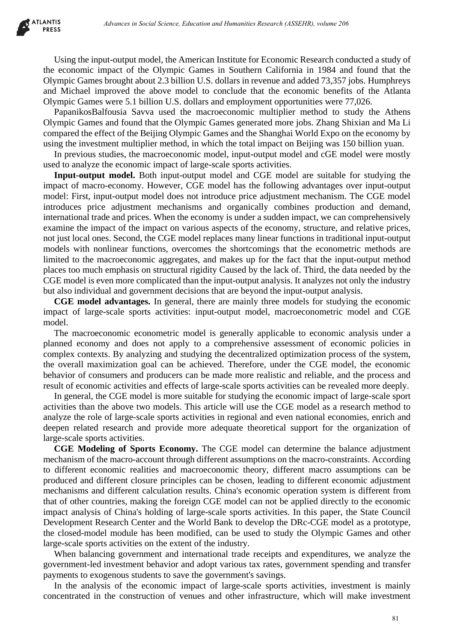

Using the input-output model, the American Institute for Economic Research conducted a study of the economic impact of the Olympic Games in Southern California in 1984 and found that the Olympic Games brought about 2.3 billion U.S. dollars in revenue and added 73,357 jobs. Humphreys and Michael improved the above model to conclude that the economic benefits of the Atlanta Olympic Games were 5.1 billion U.S. dollars and employment opportunities were 77,026.

PapanikosBalfousia Savva used the macroeconomic multiplier method to study the Athens Olympic Games and found that the Olympic Games generated more jobs. Zhang Shixian and Ma Li compared the effect of the Beijing Olympic Games and the Shanghai World Expo on the economy by using the investment multiplier method, in which the total impact on Beijing was 150 billion yuan.

In previous studies, the macroeconomic model, input-output model and cGE model were mostly used to analyze the economic impact of large-scale sports activities.

**Input-output model.** Both input-output model and CGE model are suitable for studying the impact of macro-economy. However, CGE model has the following advantages over input-output model: First, input-output model does not introduce price adjustment mechanism. The CGE model introduces price adjustment mechanisms and organically combines production and demand, international trade and prices. When the economy is under a sudden impact, we can comprehensively examine the impact of the impact on various aspects of the economy, structure, and relative prices, not just local ones. Second, the CGE model replaces many linear functions in traditional input-output models with nonlinear functions, overcomes the shortcomings that the econometric methods are limited to the macroeconomic aggregates, and makes up for the fact that the input-output method places too much emphasis on structural rigidity Caused by the lack of. Third, the data needed by the CGE model is even more complicated than the input-output analysis. It analyzes not only the industry but also individual and government decisions that are beyond the input-output analysis. debenera in Social Science, Education and Humanities Besons in 283EHR), where 266<br>the current metric of the Commission and Humanities Research conducted in study<br>compared the Olympic Games in Southern California in 1984 an

**CGE model advantages.** In general, there are mainly three models for studying the economic impact of large-scale sports activities: input-output model, macroeconometric model and CGE model.

The macroeconomic econometric model is generally applicable to economic analysis under a planned economy and does not apply to a comprehensive assessment of economic policies in complex contexts. By analyzing and studying the decentralized optimization process of the system, the overall maximization goal can be achieved. Therefore, under the CGE model, the economic behavior of consumers and producers can be made more realistic and reliable, and the process and result of economic activities and effects of large-scale sports activities can be revealed more deeply.

In general, the CGE model is more suitable for studying the economic impact of large-scale sport activities than the above two models. This article will use the CGE model as a research method to analyze the role of large-scale sports activities in regional and even national economies, enrich and deepen related research and provide more adequate theoretical support for the organization of large-scale sports activities.

**CGE Modeling of Sports Economy.** The CGE model can determine the balance adjustment mechanism of the macro-account through different assumptions on the macro-constraints. According to different economic realities and macroeconomic theory, different macro assumptions can be produced and different closure principles can be chosen, leading to different economic adjustment mechanisms and different calculation results. China's economic operation system is different from that of other countries, making the foreign CGE model can not be applied directly to the economic impact analysis of China's holding of large-scale sports activities. In this paper, the State Council Development Research Center and the World Bank to develop the DRc-CGE model as a prototype, the closed-model module has been modified, can be used to study the Olympic Games and other large-scale sports activities on the extent of the industry.

When balancing government and international trade receipts and expenditures, we analyze the government-led investment behavior and adopt various tax rates, government spending and transfer payments to exogenous students to save the government's savings.

In the analysis of the economic impact of large-scale sports activities, investment is mainly concentrated in the construction of venues and other infrastructure, which will make investment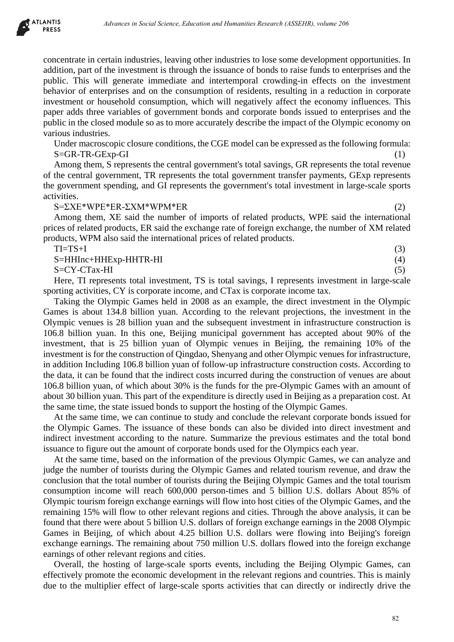

concentrate in certain industries, leaving other industries to lose some development opportunities. In addition, part of the investment is through the issuance of bonds to raise funds to enterprises and the public. This will generate immediate and intertemporal crowding-in effects on the investment behavior of enterprises and on the consumption of residents, resulting in a reduction in corporate investment or household consumption, which will negatively affect the economy influences. This paper adds three variables of government bonds and corporate bonds issued to enterprises and the public in the closed module so as to more accurately describe the impact of the Olympic economy on various industries.

Under macroscopic closure conditions, the CGE model can be expressed as the following formula:  $S = GR - TR - GExp - GI$  (1)

Among them, S represents the central government's total savings, GR represents the total revenue of the central government, TR represents the total government transfer payments, GExp represents the government spending, and GI represents the government's total investment in large-scale sports activities.

#### $S=\Sigma XE^*WPE^*ER-\Sigma XM^*WPM^*ER$  (2)

Among them, XE said the number of imports of related products, WPE said the international prices of related products, ER said the exchange rate of foreign exchange, the number of XM related products, WPM also said the international prices of related products.

| $TI = TS + I$         |  |  |  |     |
|-----------------------|--|--|--|-----|
| S=HHInc+HHExp-HHTR-HI |  |  |  | (4) |
| S=CY-CTax-HI          |  |  |  |     |
|                       |  |  |  |     |

Here, TI represents total investment, TS is total savings, I represents investment in large-scale sporting activities, CY is corporate income, and CTax is corporate income tax.

Taking the Olympic Games held in 2008 as an example, the direct investment in the Olympic Games is about 134.8 billion yuan. According to the relevant projections, the investment in the Olympic venues is 28 billion yuan and the subsequent investment in infrastructure construction is 106.8 billion yuan. In this one, Beijing municipal government has accepted about 90% of the investment, that is 25 billion yuan of Olympic venues in Beijing, the remaining 10% of the investment is for the construction of Qingdao, Shenyang and other Olympic venues for infrastructure, in addition Including 106.8 billion yuan of follow-up infrastructure construction costs. According to the data, it can be found that the indirect costs incurred during the construction of venues are about 106.8 billion yuan, of which about 30% is the funds for the pre-Olympic Games with an amount of about 30 billion yuan. This part of the expenditure is directly used in Beijing as a preparation cost. At the same time, the state issued bonds to support the hosting of the Olympic Games. *Advances in Social Science, Education and Humanities Research (ASSEHR), where 266<br>
Humanities in Caroline and the issues of Obods Consideration and the exertion of the systems and<br>
He are strained is through the issues of* 

At the same time, we can continue to study and conclude the relevant corporate bonds issued for the Olympic Games. The issuance of these bonds can also be divided into direct investment and indirect investment according to the nature. Summarize the previous estimates and the total bond issuance to figure out the amount of corporate bonds used for the Olympics each year.

At the same time, based on the information of the previous Olympic Games, we can analyze and judge the number of tourists during the Olympic Games and related tourism revenue, and draw the conclusion that the total number of tourists during the Beijing Olympic Games and the total tourism consumption income will reach 600,000 person-times and 5 billion U.S. dollars About 85% of Olympic tourism foreign exchange earnings will flow into host cities of the Olympic Games, and the remaining 15% will flow to other relevant regions and cities. Through the above analysis, it can be found that there were about 5 billion U.S. dollars of foreign exchange earnings in the 2008 Olympic Games in Beijing, of which about 4.25 billion U.S. dollars were flowing into Beijing's foreign exchange earnings. The remaining about 750 million U.S. dollars flowed into the foreign exchange earnings of other relevant regions and cities.

Overall, the hosting of large-scale sports events, including the Beijing Olympic Games, can effectively promote the economic development in the relevant regions and countries. This is mainly due to the multiplier effect of large-scale sports activities that can directly or indirectly drive the